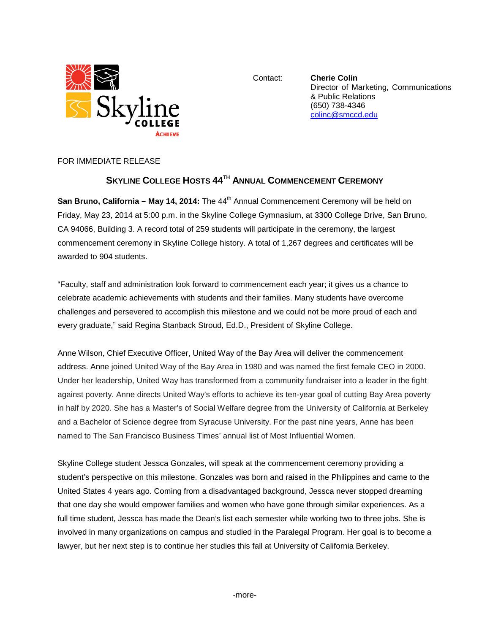

Contact: **Cherie Colin** Director of Marketing, Communications & Public Relations (650) 738-4346 [colinc@smccd.edu](mailto:colinc@smccd.edu)

FOR IMMEDIATE RELEASE

## **SKYLINE COLLEGE HOSTS 44TH ANNUAL COMMENCEMENT CEREMONY**

**San Bruno, California – May 14, 2014:** The 44<sup>th</sup> Annual Commencement Ceremony will be held on Friday, May 23, 2014 at 5:00 p.m. in the Skyline College Gymnasium, at 3300 College Drive, San Bruno, CA 94066, Building 3. A record total of 259 students will participate in the ceremony, the largest commencement ceremony in Skyline College history. A total of 1,267 degrees and certificates will be awarded to 904 students.

"Faculty, staff and administration look forward to commencement each year; it gives us a chance to celebrate academic achievements with students and their families. Many students have overcome challenges and persevered to accomplish this milestone and we could not be more proud of each and every graduate," said Regina Stanback Stroud, Ed.D., President of Skyline College.

Anne Wilson, Chief Executive Officer, United Way of the Bay Area will deliver the commencement address. Anne joined United Way of the Bay Area in 1980 and was named the first female CEO in 2000. Under her leadership, United Way has transformed from a community fundraiser into a leader in the fight against poverty. Anne directs United Way's efforts to achieve its ten-year goal of cutting Bay Area poverty in half by 2020. She has a Master's of Social Welfare degree from the University of California at Berkeley and a Bachelor of Science degree from Syracuse University. For the past nine years, Anne has been named to The San Francisco Business Times' annual list of Most Influential Women.

Skyline College student Jessca Gonzales, will speak at the commencement ceremony providing a student's perspective on this milestone. Gonzales was born and raised in the Philippines and came to the United States 4 years ago. Coming from a disadvantaged background, Jessca never stopped dreaming that one day she would empower families and women who have gone through similar experiences. As a full time student, Jessca has made the Dean's list each semester while working two to three jobs. She is involved in many organizations on campus and studied in the Paralegal Program. Her goal is to become a lawyer, but her next step is to continue her studies this fall at University of California Berkeley.